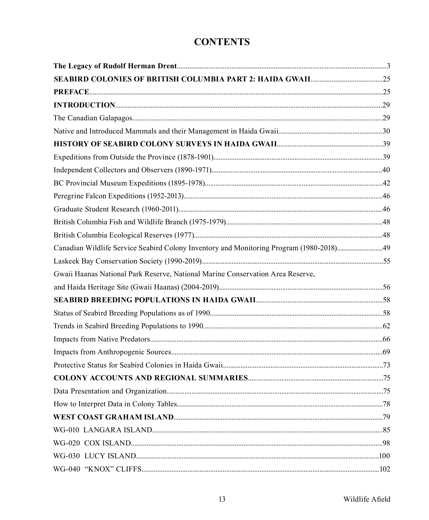## **CONTENTS**

| Canadian Wildlife Service Seabird Colony Inventory and Monitoring Program (1980-2018)49 |  |
|-----------------------------------------------------------------------------------------|--|
|                                                                                         |  |
| Gwaii Haanas National Park Reserve, National Marine Conservation Area Reserve,          |  |
|                                                                                         |  |
|                                                                                         |  |
|                                                                                         |  |
|                                                                                         |  |
|                                                                                         |  |
|                                                                                         |  |
|                                                                                         |  |
|                                                                                         |  |
|                                                                                         |  |
|                                                                                         |  |
|                                                                                         |  |
|                                                                                         |  |
|                                                                                         |  |
|                                                                                         |  |
|                                                                                         |  |